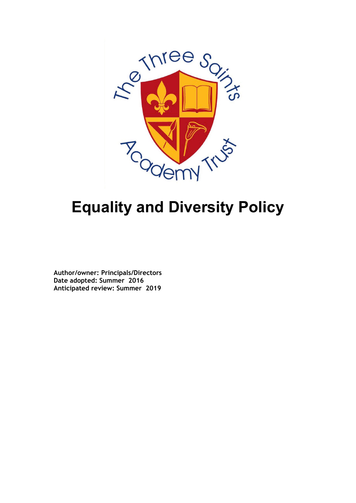

# **Equality and Diversity Policy**

**Author/owner: Principals/Directors Date adopted: Summer 2016 Anticipated review: Summer 2019**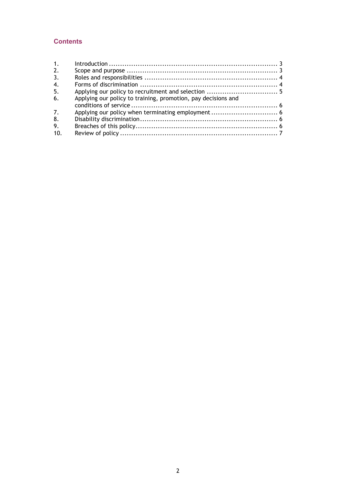### **Contents**

| Applying our policy to training, promotion, pay decisions and |  |
|---------------------------------------------------------------|--|
|                                                               |  |
|                                                               |  |
|                                                               |  |
|                                                               |  |
|                                                               |  |
|                                                               |  |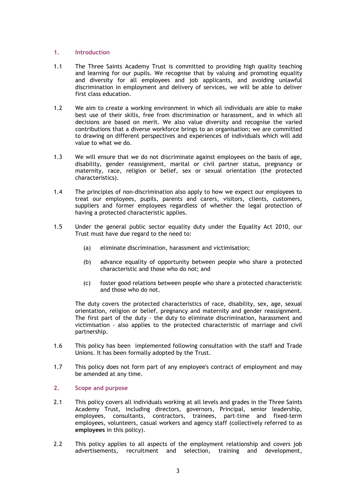#### <span id="page-2-0"></span>**1. Introduction**

- 1.1 The Three Saints Academy Trust is committed to providing high quality teaching and learning for our pupils. We recognise that by valuing and promoting equality and diversity for all employees and job applicants, and avoiding unlawful discrimination in employment and delivery of services, we will be able to deliver first class education.
- 1.2 We aim to create a working environment in which all individuals are able to make best use of their skills, free from discrimination or harassment, and in which all decisions are based on merit. We also value diversity and recognise the varied contributions that a diverse workforce brings to an organisation; we are committed to drawing on different perspectives and experiences of individuals which will add value to what we do.
- 1.3 We will ensure that we do not discriminate against employees on the basis of age, disability, gender reassignment, marital or civil partner status, pregnancy or maternity, race, religion or belief, sex or sexual orientation (the protected characteristics).
- 1.4 The principles of non-discrimination also apply to how we expect our employees to treat our employees, pupils, parents and carers, visitors, clients, customers, suppliers and former employees regardless of whether the legal protection of having a protected characteristic applies.
- 1.5 Under the general public sector equality duty under the Equality Act 2010, our Trust must have due regard to the need to:
	- (a) eliminate discrimination, harassment and victimisation;
	- (b) advance equality of opportunity between people who share a protected characteristic and those who do not; and
	- (c) foster good relations between people who share a protected characteristic and those who do not.

The duty covers the protected characteristics of race, disability, sex, age, sexual orientation, religion or belief, pregnancy and maternity and gender reassignment. The first part of the duty - the duty to eliminate discrimination, harassment and victimisation - also applies to the protected characteristic of marriage and civil partnership.

- 1.6 This policy has been implemented following consultation with the staff and Trade Unions. It has been formally adopted by the Trust.
- 1.7 This policy does not form part of any employee's contract of employment and may be amended at any time.

#### <span id="page-2-1"></span>**2. Scope and purpose**

- 2.1 This policy covers all individuals working at all levels and grades in the Three Saints Academy Trust, including directors, governors, Principal, senior leadership, employees, consultants, contractors, trainees, part-time and fixed-term employees, volunteers, casual workers and agency staff (collectively referred to as **employees** in this policy).
- 2.2 This policy applies to all aspects of the employment relationship and covers job advertisements, recruitment and selection, training and development,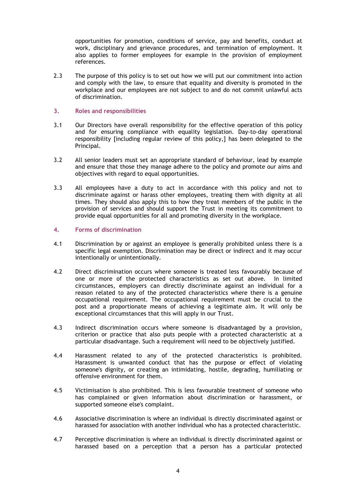opportunities for promotion, conditions of service, pay and benefits, conduct at work, disciplinary and grievance procedures, and termination of employment. It also applies to former employees for example in the provision of employment references.

2.3 The purpose of this policy is to set out how we will put our commitment into action and comply with the law, to ensure that equality and diversity is promoted in the workplace and our employees are not subject to and do not commit unlawful acts of discrimination.

#### <span id="page-3-0"></span>**3. Roles and responsibilities**

- 3.1 Our Directors have overall responsibility for the effective operation of this policy and for ensuring compliance with equality legislation. Day-to-day operational responsibility [including regular review of this policy,] has been delegated to the Principal.
- 3.2 All senior leaders must set an appropriate standard of behaviour, lead by example and ensure that those they manage adhere to the policy and promote our aims and objectives with regard to equal opportunities.
- 3.3 All employees have a duty to act in accordance with this policy and not to discriminate against or harass other employees, treating them with dignity at all times. They should also apply this to how they treat members of the public in the provision of services and should support the Trust in meeting its commitment to provide equal opportunities for all and promoting diversity in the workplace.

#### <span id="page-3-1"></span>**4. Forms of discrimination**

- 4.1 Discrimination by or against an employee is generally prohibited unless there is a specific legal exemption. Discrimination may be direct or indirect and it may occur intentionally or unintentionally.
- 4.2 Direct discrimination occurs where someone is treated less favourably because of one or more of the protected characteristics as set out above. In limited circumstances, employers can directly discriminate against an individual for a reason related to any of the protected characteristics where there is a genuine occupational requirement. The occupational requirement must be crucial to the post and a proportionate means of achieving a legitimate aim. It will only be exceptional circumstances that this will apply in our Trust.
- 4.3 Indirect discrimination occurs where someone is disadvantaged by a provision, criterion or practice that also puts people with a protected characteristic at a particular disadvantage. Such a requirement will need to be objectively justified.
- 4.4 Harassment related to any of the protected characteristics is prohibited. Harassment is unwanted conduct that has the purpose or effect of violating someone's dignity, or creating an intimidating, hostile, degrading, humiliating or offensive environment for them.
- 4.5 Victimisation is also prohibited. This is less favourable treatment of someone who has complained or given information about discrimination or harassment, or supported someone else's complaint.
- 4.6 Associative discrimination is where an individual is directly discriminated against or harassed for association with another individual who has a protected characteristic.
- 4.7 Perceptive discrimination is where an individual is directly discriminated against or harassed based on a perception that a person has a particular protected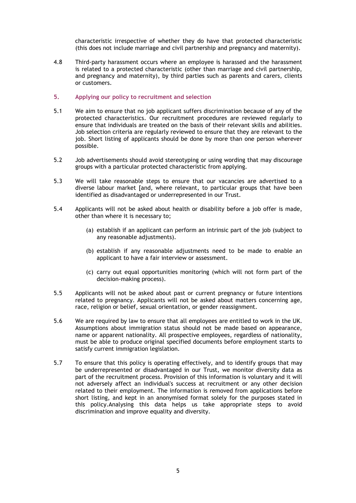characteristic irrespective of whether they do have that protected characteristic (this does not include marriage and civil partnership and pregnancy and maternity).

4.8 Third-party harassment occurs where an employee is harassed and the harassment is related to a protected characteristic (other than marriage and civil partnership, and pregnancy and maternity), by third parties such as parents and carers, clients or customers.

#### <span id="page-4-0"></span>**5. Applying our policy to recruitment and selection**

- 5.1 We aim to ensure that no job applicant suffers discrimination because of any of the protected characteristics. Our recruitment procedures are reviewed regularly to ensure that individuals are treated on the basis of their relevant skills and abilities. Job selection criteria are regularly reviewed to ensure that they are relevant to the job. Short listing of applicants should be done by more than one person wherever possible.
- 5.2 Job advertisements should avoid stereotyping or using wording that may discourage groups with a particular protected characteristic from applying.
- 5.3 We will take reasonable steps to ensure that our vacancies are advertised to a diverse labour market [and, where relevant, to particular groups that have been identified as disadvantaged or underrepresented in our Trust.
- 5.4 Applicants will not be asked about health or disability before a job offer is made, other than where it is necessary to;
	- (a) establish if an applicant can perform an intrinsic part of the job (subject to any reasonable adjustments).
	- (b) establish if any reasonable adjustments need to be made to enable an applicant to have a fair interview or assessment.
	- (c) carry out equal opportunities monitoring (which will not form part of the decision-making process).
- 5.5 Applicants will not be asked about past or current pregnancy or future intentions related to pregnancy. Applicants will not be asked about matters concerning age, race, religion or belief, sexual orientation, or gender reassignment.
- 5.6 We are required by law to ensure that all employees are entitled to work in the UK. Assumptions about immigration status should not be made based on appearance, name or apparent nationality. All prospective employees, regardless of nationality, must be able to produce original specified documents before employment starts to satisfy current immigration legislation.
- 5.7 To ensure that this policy is operating effectively, and to identify groups that may be underrepresented or disadvantaged in our Trust, we monitor diversity data as part of the recruitment process. Provision of this information is voluntary and it will not adversely affect an individual's success at recruitment or any other decision related to their employment. The information is removed from applications before short listing, and kept in an anonymised format solely for the purposes stated in this policy.Analysing this data helps us take appropriate steps to avoid discrimination and improve equality and diversity.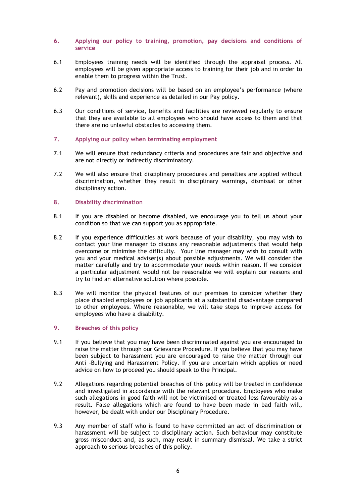#### <span id="page-5-0"></span>**6. Applying our policy to training, promotion, pay decisions and conditions of service**

- 6.1 Employees training needs will be identified through the appraisal process. All employees will be given appropriate access to training for their job and in order to enable them to progress within the Trust.
- 6.2 Pay and promotion decisions will be based on an employee's performance (where relevant), skills and experience as detailed in our Pay policy.
- 6.3 Our conditions of service, benefits and facilities are reviewed regularly to ensure that they are available to all employees who should have access to them and that there are no unlawful obstacles to accessing them.
- <span id="page-5-1"></span>**7. Applying our policy when terminating employment**
- 7.1 We will ensure that redundancy criteria and procedures are fair and objective and are not directly or indirectly discriminatory.
- 7.2 We will also ensure that disciplinary procedures and penalties are applied without discrimination, whether they result in disciplinary warnings, dismissal or other disciplinary action.

#### <span id="page-5-2"></span>**8. Disability discrimination**

- 8.1 If you are disabled or become disabled, we encourage you to tell us about your condition so that we can support you as appropriate.
- 8.2 If you experience difficulties at work because of your disability, you may wish to contact your line manager to discuss any reasonable adjustments that would help overcome or minimise the difficulty. Your line manager may wish to consult with you and your medical adviser(s) about possible adjustments. We will consider the matter carefully and try to accommodate your needs within reason. If we consider a particular adjustment would not be reasonable we will explain our reasons and try to find an alternative solution where possible.
- 8.3 We will monitor the physical features of our premises to consider whether they place disabled employees or job applicants at a substantial disadvantage compared to other employees. Where reasonable, we will take steps to improve access for employees who have a disability.

#### <span id="page-5-3"></span>**9. Breaches of this policy**

- 9.1 If you believe that you may have been discriminated against you are encouraged to raise the matter through our Grievance Procedure. If you believe that you may have been subject to harassment you are encouraged to raise the matter through our Anti –Bullying and Harassment Policy. If you are uncertain which applies or need advice on how to proceed you should speak to the Principal.
- 9.2 Allegations regarding potential breaches of this policy will be treated in confidence and investigated in accordance with the relevant procedure. Employees who make such allegations in good faith will not be victimised or treated less favourably as a result. False allegations which are found to have been made in bad faith will, however, be dealt with under our Disciplinary Procedure.
- 9.3 Any member of staff who is found to have committed an act of discrimination or harassment will be subject to disciplinary action. Such behaviour may constitute gross misconduct and, as such, may result in summary dismissal. We take a strict approach to serious breaches of this policy.